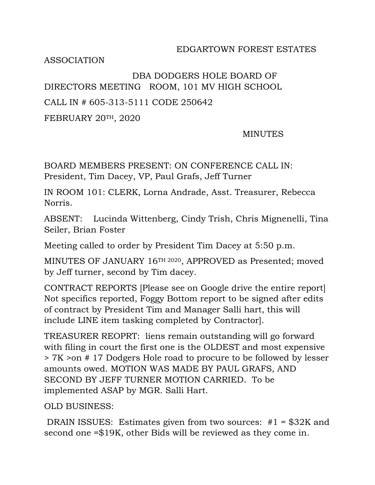## EDGARTOWN FOREST ESTATES

ASSOCIATION

## DBA DODGERS HOLE BOARD OF DIRECTORS MEETING ROOM, 101 MV HIGH SCHOOL CALL IN # 605-313-5111 CODE 250642

FEBRUARY 20TH, 2020

## MINUTES

BOARD MEMBERS PRESENT: ON CONFERENCE CALL IN: President, Tim Dacey, VP, Paul Grafs, Jeff Turner

IN ROOM 101: CLERK, Lorna Andrade, Asst. Treasurer, Rebecca Norris.

ABSENT: Lucinda Wittenberg, Cindy Trish, Chris Mignenelli, Tina Seiler, Brian Foster

Meeting called to order by President Tim Dacey at 5:50 p.m.

MINUTES OF JANUARY 16TH <sup>2020</sup>, APPROVED as Presented; moved by Jeff turner, second by Tim dacey.

CONTRACT REPORTS [Please see on Google drive the entire report] Not specifics reported, Foggy Bottom report to be signed after edits of contract by President Tim and Manager Salli hart, this will include LINE item tasking completed by Contractor].

TREASURER REOPRT: liens remain outstanding will go forward with filing in court the first one is the OLDEST and most expensive > 7K >on # 17 Dodgers Hole road to procure to be followed by lesser amounts owed. MOTION WAS MADE BY PAUL GRAFS, AND SECOND BY JEFF TURNER MOTION CARRIED. To be implemented ASAP by MGR. Salli Hart.

OLD BUSINESS:

DRAIN ISSUES: Estimates given from two sources: #1 = \$32K and second one =\$19K, other Bids will be reviewed as they come in.